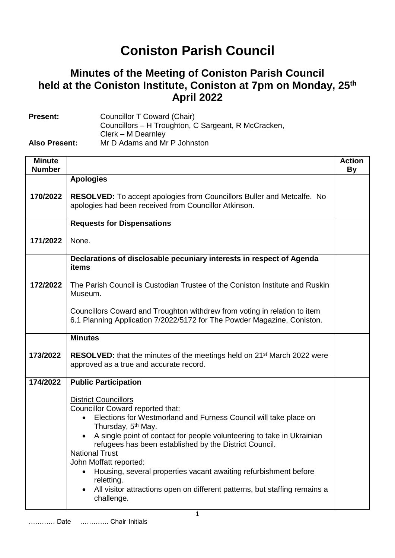## **Coniston Parish Council**

## **Minutes of the Meeting of Coniston Parish Council held at the Coniston Institute, Coniston at 7pm on Monday, 25th April 2022**

| <b>Present:</b>      | Councillor T Coward (Chair)                         |
|----------------------|-----------------------------------------------------|
|                      | Councillors – H Troughton, C Sargeant, R McCracken, |
|                      | Clerk – M Dearnley                                  |
| <b>Also Present:</b> | Mr D Adams and Mr P Johnston                        |

| <b>Minute</b><br><b>Number</b> |                                                                                                                                                                                                                                                                                                                                                                                                                                                                                                                                                                      | <b>Action</b><br><b>By</b> |
|--------------------------------|----------------------------------------------------------------------------------------------------------------------------------------------------------------------------------------------------------------------------------------------------------------------------------------------------------------------------------------------------------------------------------------------------------------------------------------------------------------------------------------------------------------------------------------------------------------------|----------------------------|
|                                | <b>Apologies</b>                                                                                                                                                                                                                                                                                                                                                                                                                                                                                                                                                     |                            |
| 170/2022                       | <b>RESOLVED:</b> To accept apologies from Councillors Buller and Metcalfe. No<br>apologies had been received from Councillor Atkinson.                                                                                                                                                                                                                                                                                                                                                                                                                               |                            |
|                                | <b>Requests for Dispensations</b>                                                                                                                                                                                                                                                                                                                                                                                                                                                                                                                                    |                            |
| 171/2022                       | None.                                                                                                                                                                                                                                                                                                                                                                                                                                                                                                                                                                |                            |
|                                | Declarations of disclosable pecuniary interests in respect of Agenda<br>items                                                                                                                                                                                                                                                                                                                                                                                                                                                                                        |                            |
| 172/2022                       | The Parish Council is Custodian Trustee of the Coniston Institute and Ruskin<br>Museum.                                                                                                                                                                                                                                                                                                                                                                                                                                                                              |                            |
|                                | Councillors Coward and Troughton withdrew from voting in relation to item<br>6.1 Planning Application 7/2022/5172 for The Powder Magazine, Coniston.                                                                                                                                                                                                                                                                                                                                                                                                                 |                            |
|                                | <b>Minutes</b>                                                                                                                                                                                                                                                                                                                                                                                                                                                                                                                                                       |                            |
| 173/2022                       | <b>RESOLVED:</b> that the minutes of the meetings held on 21 <sup>st</sup> March 2022 were<br>approved as a true and accurate record.                                                                                                                                                                                                                                                                                                                                                                                                                                |                            |
| 174/2022                       | <b>Public Participation</b>                                                                                                                                                                                                                                                                                                                                                                                                                                                                                                                                          |                            |
|                                | <b>District Councillors</b><br>Councillor Coward reported that:<br>Elections for Westmorland and Furness Council will take place on<br>$\bullet$<br>Thursday, 5 <sup>th</sup> May.<br>A single point of contact for people volunteering to take in Ukrainian<br>$\bullet$<br>refugees has been established by the District Council.<br><b>National Trust</b><br>John Moffatt reported:<br>Housing, several properties vacant awaiting refurbishment before<br>reletting.<br>All visitor attractions open on different patterns, but staffing remains a<br>challenge. |                            |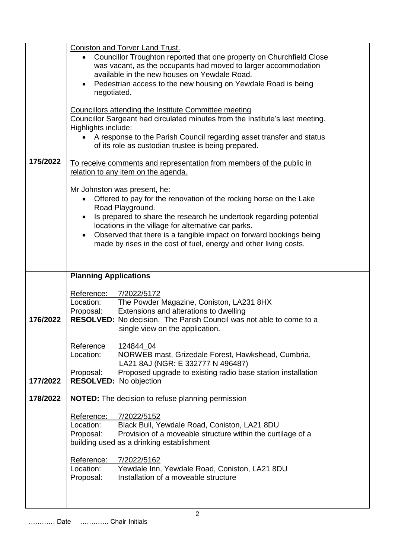| 175/2022 | <b>Coniston and Torver Land Trust.</b><br>Councillor Troughton reported that one property on Churchfield Close<br>was vacant, as the occupants had moved to larger accommodation<br>available in the new houses on Yewdale Road.<br>Pedestrian access to the new housing on Yewdale Road is being<br>$\bullet$<br>negotiated.<br>Councillors attending the Institute Committee meeting<br>Councillor Sargeant had circulated minutes from the Institute's last meeting.<br>Highlights include:<br>A response to the Parish Council regarding asset transfer and status<br>of its role as custodian trustee is being prepared.<br>To receive comments and representation from members of the public in<br>relation to any item on the agenda.<br>Mr Johnston was present, he: |  |  |
|----------|------------------------------------------------------------------------------------------------------------------------------------------------------------------------------------------------------------------------------------------------------------------------------------------------------------------------------------------------------------------------------------------------------------------------------------------------------------------------------------------------------------------------------------------------------------------------------------------------------------------------------------------------------------------------------------------------------------------------------------------------------------------------------|--|--|
|          | Offered to pay for the renovation of the rocking horse on the Lake<br>$\bullet$<br>Road Playground.<br>Is prepared to share the research he undertook regarding potential<br>locations in the village for alternative car parks.<br>Observed that there is a tangible impact on forward bookings being<br>$\bullet$<br>made by rises in the cost of fuel, energy and other living costs.                                                                                                                                                                                                                                                                                                                                                                                     |  |  |
|          | <b>Planning Applications</b>                                                                                                                                                                                                                                                                                                                                                                                                                                                                                                                                                                                                                                                                                                                                                 |  |  |
| 176/2022 | Reference: 7/2022/5172<br>Location:<br>The Powder Magazine, Coniston, LA231 8HX<br>Proposal:<br>Extensions and alterations to dwelling<br>RESOLVED: No decision. The Parish Council was not able to come to a<br>single view on the application.                                                                                                                                                                                                                                                                                                                                                                                                                                                                                                                             |  |  |
|          | Reference<br>124844 04<br>NORWEB mast, Grizedale Forest, Hawkshead, Cumbria,<br>Location:<br>LA21 8AJ (NGR: E 332777 N 496487)                                                                                                                                                                                                                                                                                                                                                                                                                                                                                                                                                                                                                                               |  |  |
| 177/2022 | Proposal:<br>Proposed upgrade to existing radio base station installation<br>RESOLVED: No objection                                                                                                                                                                                                                                                                                                                                                                                                                                                                                                                                                                                                                                                                          |  |  |
| 178/2022 | <b>NOTED:</b> The decision to refuse planning permission                                                                                                                                                                                                                                                                                                                                                                                                                                                                                                                                                                                                                                                                                                                     |  |  |
|          | Reference:<br>7/2022/5152<br>Location:<br>Black Bull, Yewdale Road, Coniston, LA21 8DU<br>Provision of a moveable structure within the curtilage of a<br>Proposal:<br>building used as a drinking establishment                                                                                                                                                                                                                                                                                                                                                                                                                                                                                                                                                              |  |  |
|          | Reference:<br>7/2022/5162<br>Location:<br>Yewdale Inn, Yewdale Road, Coniston, LA21 8DU<br>Installation of a moveable structure<br>Proposal:                                                                                                                                                                                                                                                                                                                                                                                                                                                                                                                                                                                                                                 |  |  |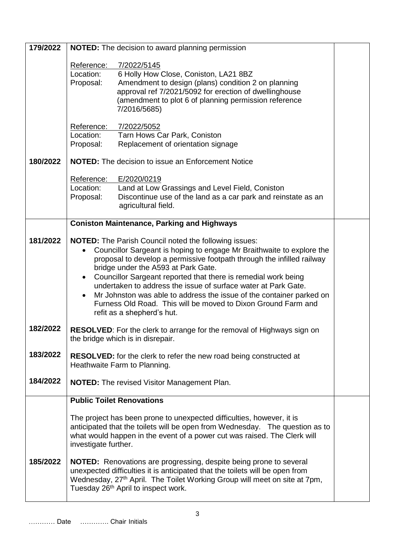| 179/2022 | <b>NOTED:</b> The decision to award planning permission                                                                                  |  |  |
|----------|------------------------------------------------------------------------------------------------------------------------------------------|--|--|
|          | Reference:<br>7/2022/5145                                                                                                                |  |  |
|          | 6 Holly How Close, Coniston, LA21 8BZ<br>Location:                                                                                       |  |  |
|          | Amendment to design (plans) condition 2 on planning<br>Proposal:<br>approval ref 7/2021/5092 for erection of dwellinghouse               |  |  |
|          | (amendment to plot 6 of planning permission reference                                                                                    |  |  |
|          | 7/2016/5685)                                                                                                                             |  |  |
|          | Reference:<br>7/2022/5052                                                                                                                |  |  |
|          | Location:<br>Tarn Hows Car Park, Coniston                                                                                                |  |  |
|          | Replacement of orientation signage<br>Proposal:                                                                                          |  |  |
| 180/2022 | <b>NOTED:</b> The decision to issue an Enforcement Notice                                                                                |  |  |
|          | E/2020/0219<br>Reference:                                                                                                                |  |  |
|          | Location:<br>Land at Low Grassings and Level Field, Coniston                                                                             |  |  |
|          | Discontinue use of the land as a car park and reinstate as an<br>Proposal:<br>agricultural field.                                        |  |  |
|          |                                                                                                                                          |  |  |
|          | <b>Coniston Maintenance, Parking and Highways</b>                                                                                        |  |  |
| 181/2022 | <b>NOTED:</b> The Parish Council noted the following issues:                                                                             |  |  |
|          | Councillor Sargeant is hoping to engage Mr Braithwaite to explore the<br>$\bullet$                                                       |  |  |
|          | proposal to develop a permissive footpath through the infilled railway                                                                   |  |  |
|          | bridge under the A593 at Park Gate.<br>Councillor Sargeant reported that there is remedial work being<br>$\bullet$                       |  |  |
|          | undertaken to address the issue of surface water at Park Gate.                                                                           |  |  |
|          | Mr Johnston was able to address the issue of the container parked on<br>Furness Old Road. This will be moved to Dixon Ground Farm and    |  |  |
|          | refit as a shepherd's hut.                                                                                                               |  |  |
| 182/2022 |                                                                                                                                          |  |  |
|          | <b>RESOLVED:</b> For the clerk to arrange for the removal of Highways sign on<br>the bridge which is in disrepair.                       |  |  |
|          |                                                                                                                                          |  |  |
| 183/2022 | <b>RESOLVED:</b> for the clerk to refer the new road being constructed at                                                                |  |  |
|          | Heathwaite Farm to Planning.                                                                                                             |  |  |
| 184/2022 | <b>NOTED:</b> The revised Visitor Management Plan.                                                                                       |  |  |
|          | <b>Public Toilet Renovations</b>                                                                                                         |  |  |
|          | The project has been prone to unexpected difficulties, however, it is                                                                    |  |  |
|          | anticipated that the toilets will be open from Wednesday. The question as to                                                             |  |  |
|          | what would happen in the event of a power cut was raised. The Clerk will<br>investigate further.                                         |  |  |
| 185/2022 | NOTED: Renovations are progressing, despite being prone to several                                                                       |  |  |
|          | unexpected difficulties it is anticipated that the toilets will be open from                                                             |  |  |
|          | Wednesday, 27 <sup>th</sup> April. The Toilet Working Group will meet on site at 7pm,<br>Tuesday 26 <sup>th</sup> April to inspect work. |  |  |
|          |                                                                                                                                          |  |  |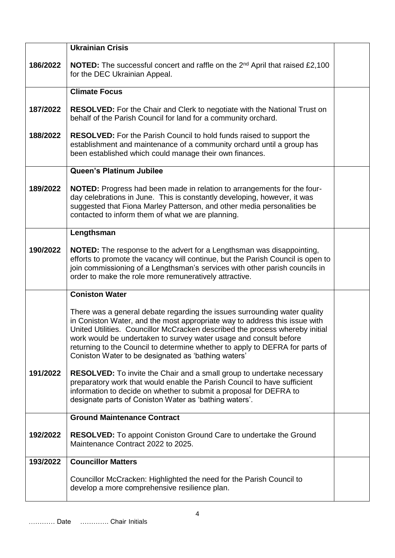|          | <b>Ukrainian Crisis</b>                                                                                                                                                                                                                                                                                                                                                                                                                             |  |
|----------|-----------------------------------------------------------------------------------------------------------------------------------------------------------------------------------------------------------------------------------------------------------------------------------------------------------------------------------------------------------------------------------------------------------------------------------------------------|--|
| 186/2022 | <b>NOTED:</b> The successful concert and raffle on the 2 <sup>nd</sup> April that raised £2,100<br>for the DEC Ukrainian Appeal.                                                                                                                                                                                                                                                                                                                    |  |
|          | <b>Climate Focus</b>                                                                                                                                                                                                                                                                                                                                                                                                                                |  |
| 187/2022 | <b>RESOLVED:</b> For the Chair and Clerk to negotiate with the National Trust on<br>behalf of the Parish Council for land for a community orchard.                                                                                                                                                                                                                                                                                                  |  |
| 188/2022 | <b>RESOLVED:</b> For the Parish Council to hold funds raised to support the<br>establishment and maintenance of a community orchard until a group has<br>been established which could manage their own finances.                                                                                                                                                                                                                                    |  |
|          | Queen's Platinum Jubilee                                                                                                                                                                                                                                                                                                                                                                                                                            |  |
| 189/2022 | <b>NOTED:</b> Progress had been made in relation to arrangements for the four-<br>day celebrations in June. This is constantly developing, however, it was<br>suggested that Fiona Marley Patterson, and other media personalities be<br>contacted to inform them of what we are planning.                                                                                                                                                          |  |
|          | Lengthsman                                                                                                                                                                                                                                                                                                                                                                                                                                          |  |
| 190/2022 | <b>NOTED:</b> The response to the advert for a Lengthsman was disappointing,<br>efforts to promote the vacancy will continue, but the Parish Council is open to<br>join commissioning of a Lengthsman's services with other parish councils in<br>order to make the role more remuneratively attractive.                                                                                                                                            |  |
|          | <b>Coniston Water</b>                                                                                                                                                                                                                                                                                                                                                                                                                               |  |
|          | There was a general debate regarding the issues surrounding water quality<br>in Coniston Water, and the most appropriate way to address this issue with<br>United Utilities. Councillor McCracken described the process whereby initial<br>work would be undertaken to survey water usage and consult before<br>returning to the Council to determine whether to apply to DEFRA for parts of<br>Coniston Water to be designated as 'bathing waters' |  |
| 191/2022 | <b>RESOLVED:</b> To invite the Chair and a small group to undertake necessary<br>preparatory work that would enable the Parish Council to have sufficient<br>information to decide on whether to submit a proposal for DEFRA to<br>designate parts of Coniston Water as 'bathing waters'.                                                                                                                                                           |  |
|          | <b>Ground Maintenance Contract</b>                                                                                                                                                                                                                                                                                                                                                                                                                  |  |
| 192/2022 | <b>RESOLVED:</b> To appoint Coniston Ground Care to undertake the Ground<br>Maintenance Contract 2022 to 2025.                                                                                                                                                                                                                                                                                                                                      |  |
| 193/2022 | <b>Councillor Matters</b>                                                                                                                                                                                                                                                                                                                                                                                                                           |  |
|          | Councillor McCracken: Highlighted the need for the Parish Council to<br>develop a more comprehensive resilience plan.                                                                                                                                                                                                                                                                                                                               |  |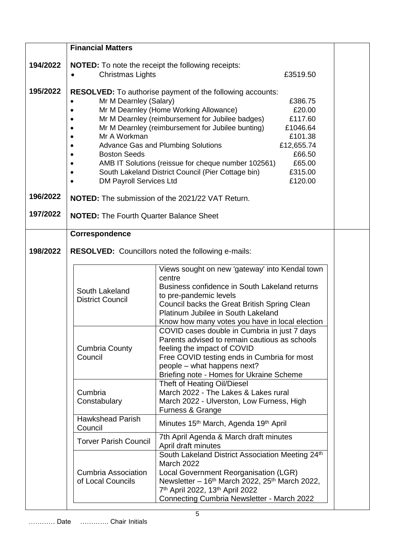|          | <b>Financial Matters</b>                                  |                                                                                                                              |  |
|----------|-----------------------------------------------------------|------------------------------------------------------------------------------------------------------------------------------|--|
| 194/2022 |                                                           | <b>NOTED:</b> To note the receipt the following receipts:                                                                    |  |
|          | Christmas Lights                                          | £3519.50                                                                                                                     |  |
|          |                                                           |                                                                                                                              |  |
| 195/2022 |                                                           | <b>RESOLVED:</b> To authorise payment of the following accounts:                                                             |  |
|          | Mr M Dearnley (Salary)                                    | £386.75                                                                                                                      |  |
|          |                                                           | Mr M Dearnley (Home Working Allowance)<br>£20.00                                                                             |  |
|          |                                                           | Mr M Dearnley (reimbursement for Jubilee badges)<br>£117.60<br>Mr M Dearnley (reimbursement for Jubilee bunting)<br>£1046.64 |  |
|          | Mr A Workman                                              | £101.38                                                                                                                      |  |
|          |                                                           | <b>Advance Gas and Plumbing Solutions</b><br>£12,655.74                                                                      |  |
|          | <b>Boston Seeds</b>                                       | £66.50                                                                                                                       |  |
|          |                                                           | AMB IT Solutions (reissue for cheque number 102561)<br>£65.00                                                                |  |
|          | $\bullet$                                                 | South Lakeland District Council (Pier Cottage bin)<br>£315.00                                                                |  |
|          | <b>DM Payroll Services Ltd</b>                            | £120.00                                                                                                                      |  |
| 196/2022 |                                                           | <b>NOTED:</b> The submission of the 2021/22 VAT Return.                                                                      |  |
| 197/2022 | <b>NOTED:</b> The Fourth Quarter Balance Sheet            |                                                                                                                              |  |
|          |                                                           |                                                                                                                              |  |
|          | Correspondence                                            |                                                                                                                              |  |
| 198/2022 | <b>RESOLVED:</b> Councillors noted the following e-mails: |                                                                                                                              |  |
|          |                                                           |                                                                                                                              |  |
|          |                                                           | Views sought on new 'gateway' into Kendal town                                                                               |  |
|          |                                                           | centre                                                                                                                       |  |
|          | South Lakeland                                            | Business confidence in South Lakeland returns                                                                                |  |
|          | <b>District Council</b>                                   | to pre-pandemic levels<br>Council backs the Great British Spring Clean                                                       |  |
|          |                                                           | Platinum Jubilee in South Lakeland                                                                                           |  |
|          |                                                           | Know how many votes you have in local election                                                                               |  |
|          |                                                           | COVID cases double in Cumbria in just 7 days                                                                                 |  |
|          |                                                           | Parents advised to remain cautious as schools                                                                                |  |
|          | <b>Cumbria County</b><br>Council                          | feeling the impact of COVID<br>Free COVID testing ends in Cumbria for most                                                   |  |
|          |                                                           | people - what happens next?                                                                                                  |  |
|          |                                                           | Briefing note - Homes for Ukraine Scheme                                                                                     |  |
|          |                                                           | Theft of Heating Oil/Diesel                                                                                                  |  |
|          | Cumbria                                                   | March 2022 - The Lakes & Lakes rural                                                                                         |  |
|          | Constabulary                                              | March 2022 - Ulverston, Low Furness, High<br>Furness & Grange                                                                |  |
|          | <b>Hawkshead Parish</b>                                   |                                                                                                                              |  |
|          | Council                                                   | Minutes 15 <sup>th</sup> March, Agenda 19 <sup>th</sup> April                                                                |  |
|          | <b>Torver Parish Council</b>                              | 7th April Agenda & March draft minutes<br>April draft minutes                                                                |  |
|          |                                                           | South Lakeland District Association Meeting 24th                                                                             |  |
|          |                                                           | <b>March 2022</b>                                                                                                            |  |
|          | <b>Cumbria Association</b><br>of Local Councils           | Local Government Reorganisation (LGR)<br>Newsletter - $16th$ March 2022, 25 <sup>th</sup> March 2022,                        |  |
|          |                                                           | 7 <sup>th</sup> April 2022, 13 <sup>th</sup> April 2022                                                                      |  |
|          |                                                           | Connecting Cumbria Newsletter - March 2022                                                                                   |  |
|          |                                                           |                                                                                                                              |  |